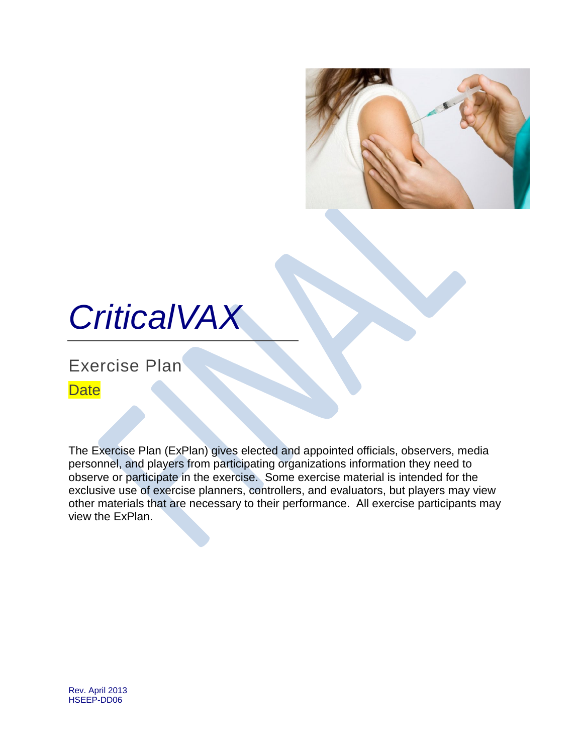

# *CriticalVAX*

Exercise Plan

**Date** 

The Exercise Plan (ExPlan) gives elected and appointed officials, observers, media personnel, and players from participating organizations information they need to observe or participate in the exercise. Some exercise material is intended for the exclusive use of exercise planners, controllers, and evaluators, but players may view other materials that are necessary to their performance. All exercise participants may view the ExPlan.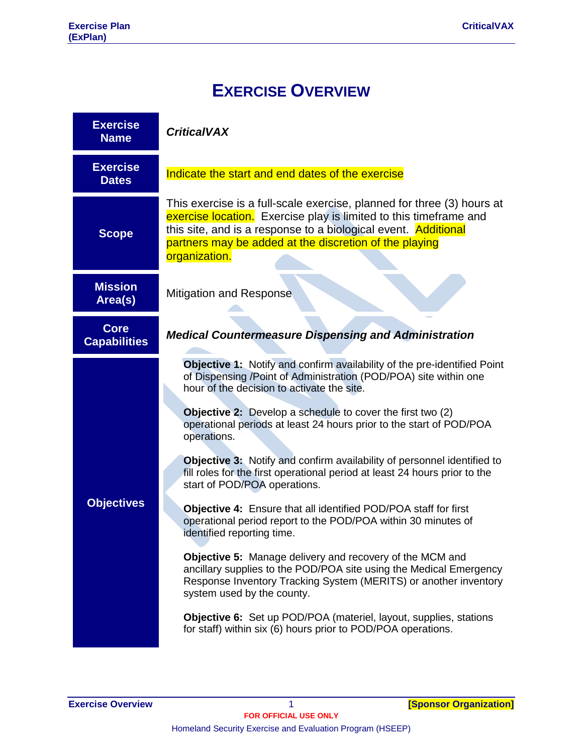# **EXERCISE OVERVIEW**

| <b>Exercise</b><br><b>Name</b>     | <b>CriticalVAX</b>                                                                                                                                                                                                                                                                                                                                                                                                                                                                                                                                                                                                                                                                                                                                                                                                                                                                                                                                                                                                                             |  |
|------------------------------------|------------------------------------------------------------------------------------------------------------------------------------------------------------------------------------------------------------------------------------------------------------------------------------------------------------------------------------------------------------------------------------------------------------------------------------------------------------------------------------------------------------------------------------------------------------------------------------------------------------------------------------------------------------------------------------------------------------------------------------------------------------------------------------------------------------------------------------------------------------------------------------------------------------------------------------------------------------------------------------------------------------------------------------------------|--|
| <b>Exercise</b><br><b>Dates</b>    | Indicate the start and end dates of the exercise                                                                                                                                                                                                                                                                                                                                                                                                                                                                                                                                                                                                                                                                                                                                                                                                                                                                                                                                                                                               |  |
| <b>Scope</b>                       | This exercise is a full-scale exercise, planned for three (3) hours at<br>exercise location. Exercise play is limited to this timeframe and<br>this site, and is a response to a biological event. Additional<br>partners may be added at the discretion of the playing<br>organization.                                                                                                                                                                                                                                                                                                                                                                                                                                                                                                                                                                                                                                                                                                                                                       |  |
| <b>Mission</b><br>Area(s)          | <b>Mitigation and Response</b>                                                                                                                                                                                                                                                                                                                                                                                                                                                                                                                                                                                                                                                                                                                                                                                                                                                                                                                                                                                                                 |  |
| <b>Core</b><br><b>Capabilities</b> | <b>Medical Countermeasure Dispensing and Administration</b>                                                                                                                                                                                                                                                                                                                                                                                                                                                                                                                                                                                                                                                                                                                                                                                                                                                                                                                                                                                    |  |
| <b>Objectives</b>                  | Objective 1: Notify and confirm availability of the pre-identified Point<br>of Dispensing /Point of Administration (POD/POA) site within one<br>hour of the decision to activate the site.<br><b>Objective 2:</b> Develop a schedule to cover the first two (2)<br>operational periods at least 24 hours prior to the start of POD/POA<br>operations.<br><b>Objective 3:</b> Notify and confirm availability of personnel identified to<br>fill roles for the first operational period at least 24 hours prior to the<br>start of POD/POA operations.<br><b>Objective 4: Ensure that all identified POD/POA staff for first</b><br>operational period report to the POD/POA within 30 minutes of<br>identified reporting time.<br>Objective 5: Manage delivery and recovery of the MCM and<br>ancillary supplies to the POD/POA site using the Medical Emergency<br>Response Inventory Tracking System (MERITS) or another inventory<br>system used by the county.<br><b>Objective 6:</b> Set up POD/POA (materiel, layout, supplies, stations |  |
|                                    | for staff) within six (6) hours prior to POD/POA operations.                                                                                                                                                                                                                                                                                                                                                                                                                                                                                                                                                                                                                                                                                                                                                                                                                                                                                                                                                                                   |  |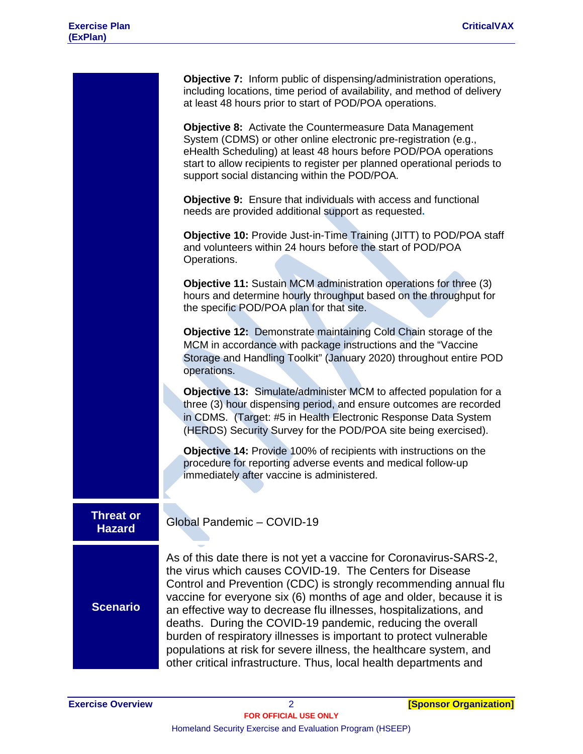**Objective 7:** Inform public of dispensing/administration operations, including locations, time period of availability, and method of delivery at least 48 hours prior to start of POD/POA operations.

**Objective 8:** Activate the Countermeasure Data Management System (CDMS) or other online electronic pre-registration (e.g., eHealth Scheduling) at least 48 hours before POD/POA operations start to allow recipients to register per planned operational periods to support social distancing within the POD/POA.

**Objective 9:** Ensure that individuals with access and functional needs are provided additional support as requested**.**

**Objective 10:** Provide Just-in-Time Training (JITT) to POD/POA staff and volunteers within 24 hours before the start of POD/POA Operations.

**Objective 11:** Sustain MCM administration operations for three (3) hours and determine hourly throughput based on the throughput for the specific POD/POA plan for that site.

**Objective 12:** Demonstrate maintaining Cold Chain storage of the MCM in accordance with package instructions and the "Vaccine Storage and Handling Toolkit" (January 2020) throughout entire POD operations.

**Objective 13:** Simulate/administer MCM to affected population for a three (3) hour dispensing period, and ensure outcomes are recorded in CDMS. (Target: #5 in Health Electronic Response Data System (HERDS) Security Survey for the POD/POA site being exercised).

**Objective 14:** Provide 100% of recipients with instructions on the procedure for reporting adverse events and medical follow-up immediately after vaccine is administered.

# **Threat or**

**Hazard** Global Pandemic – COVID-19

#### **Scenario**

As of this date there is not yet a vaccine for Coronavirus-SARS-2, the virus which causes COVID-19. The Centers for Disease Control and Prevention (CDC) is strongly recommending annual flu vaccine for everyone six (6) months of age and older, because it is an effective way to decrease flu illnesses, hospitalizations, and deaths. During the COVID-19 pandemic, reducing the overall burden of respiratory illnesses is important to protect vulnerable populations at risk for severe illness, the healthcare system, and other critical infrastructure. Thus, local health departments and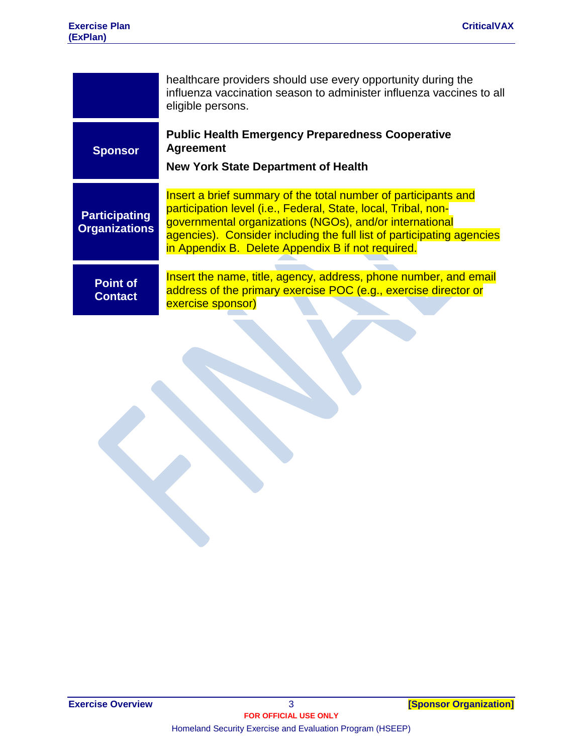healthcare providers should use every opportunity during the influenza vaccination season to administer influenza vaccines to all eligible persons. **Sponsor Public Health Emergency Preparedness Cooperative Agreement New York State Department of Health Participating Organizations** Insert a brief summary of the total number of participants and participation level (i.e., Federal, State, local, Tribal, nongovernmental organizations (NGOs), and/or international agencies). Consider including the full list of participating agencies in Appendix B. Delete Appendix B if not required. **Point of Contact** Insert the name, title, agency, address, phone number, and email address of the primary exercise POC (e.g., exercise director or exercise sponsor)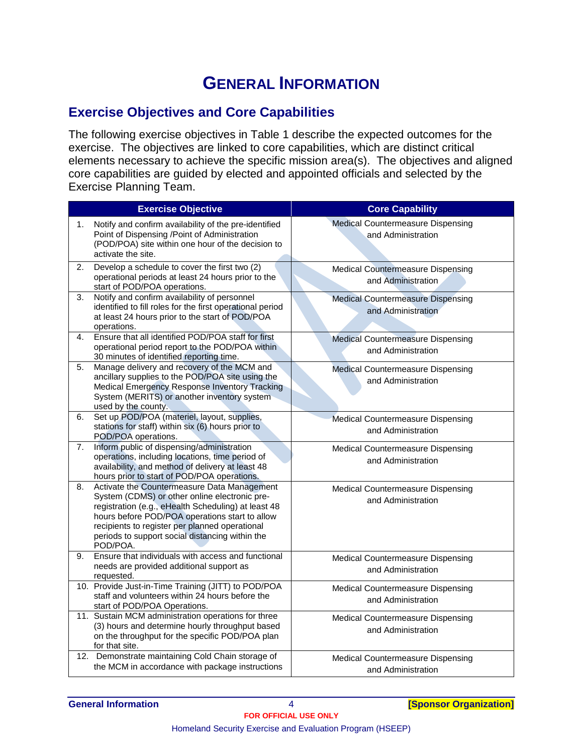### **GENERAL INFORMATION**

#### **Exercise Objectives and Core Capabilities**

The following exercise objectives in Table 1 describe the expected outcomes for the exercise. The objectives are linked to core capabilities, which are distinct critical elements necessary to achieve the specific mission area(s). The objectives and aligned core capabilities are guided by elected and appointed officials and selected by the Exercise Planning Team.

| <b>Exercise Objective</b>                                                                                                                                                                                                                                                                                                    | <b>Core Capability</b>                                         |
|------------------------------------------------------------------------------------------------------------------------------------------------------------------------------------------------------------------------------------------------------------------------------------------------------------------------------|----------------------------------------------------------------|
| Notify and confirm availability of the pre-identified<br>$1_{-}$<br>Point of Dispensing /Point of Administration<br>(POD/POA) site within one hour of the decision to<br>activate the site.                                                                                                                                  | <b>Medical Countermeasure Dispensing</b><br>and Administration |
| Develop a schedule to cover the first two (2)<br>2.<br>operational periods at least 24 hours prior to the<br>start of POD/POA operations.                                                                                                                                                                                    | Medical Countermeasure Dispensing<br>and Administration        |
| 3.<br>Notify and confirm availability of personnel<br>identified to fill roles for the first operational period<br>at least 24 hours prior to the start of POD/POA<br>operations.                                                                                                                                            | <b>Medical Countermeasure Dispensing</b><br>and Administration |
| Ensure that all identified POD/POA staff for first<br>4.<br>operational period report to the POD/POA within<br>30 minutes of identified reporting time.                                                                                                                                                                      | <b>Medical Countermeasure Dispensing</b><br>and Administration |
| Manage delivery and recovery of the MCM and<br>5.<br>ancillary supplies to the POD/POA site using the<br>Medical Emergency Response Inventory Tracking<br>System (MERITS) or another inventory system<br>used by the county.                                                                                                 | <b>Medical Countermeasure Dispensing</b><br>and Administration |
| Set up POD/POA (materiel, layout, supplies,<br>6.<br>stations for staff) within six (6) hours prior to<br>POD/POA operations.                                                                                                                                                                                                | Medical Countermeasure Dispensing<br>and Administration        |
| Inform public of dispensing/administration<br>7.<br>operations, including locations, time period of<br>availability, and method of delivery at least 48<br>hours prior to start of POD/POA operations.                                                                                                                       | Medical Countermeasure Dispensing<br>and Administration        |
| Activate the Countermeasure Data Management<br>8.<br>System (CDMS) or other online electronic pre-<br>registration (e.g., eHealth Scheduling) at least 48<br>hours before POD/POA operations start to allow<br>recipients to register per planned operational<br>periods to support social distancing within the<br>POD/POA. | Medical Countermeasure Dispensing<br>and Administration        |
| Ensure that individuals with access and functional<br>9.<br>needs are provided additional support as<br>requested.                                                                                                                                                                                                           | Medical Countermeasure Dispensing<br>and Administration        |
| 10. Provide Just-in-Time Training (JITT) to POD/POA<br>staff and volunteers within 24 hours before the<br>start of POD/POA Operations.                                                                                                                                                                                       | Medical Countermeasure Dispensing<br>and Administration        |
| 11. Sustain MCM administration operations for three<br>(3) hours and determine hourly throughput based<br>on the throughput for the specific POD/POA plan<br>for that site.                                                                                                                                                  | Medical Countermeasure Dispensing<br>and Administration        |
| 12. Demonstrate maintaining Cold Chain storage of<br>the MCM in accordance with package instructions                                                                                                                                                                                                                         | Medical Countermeasure Dispensing<br>and Administration        |

**General Information** 4 **[Sponsor Organization]**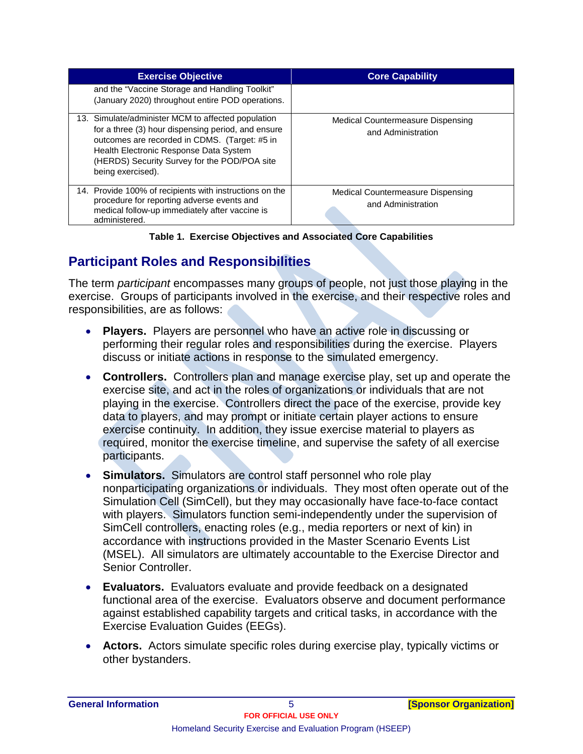| <b>Exercise Objective</b>                                                                                                                                                                                                                                                | <b>Core Capability</b>                                  |
|--------------------------------------------------------------------------------------------------------------------------------------------------------------------------------------------------------------------------------------------------------------------------|---------------------------------------------------------|
| and the "Vaccine Storage and Handling Toolkit"<br>(January 2020) throughout entire POD operations.                                                                                                                                                                       |                                                         |
| 13. Simulate/administer MCM to affected population<br>for a three (3) hour dispensing period, and ensure<br>outcomes are recorded in CDMS. (Target: #5 in<br>Health Electronic Response Data System<br>(HERDS) Security Survey for the POD/POA site<br>being exercised). | Medical Countermeasure Dispensing<br>and Administration |
| 14. Provide 100% of recipients with instructions on the<br>procedure for reporting adverse events and<br>medical follow-up immediately after vaccine is<br>administered.                                                                                                 | Medical Countermeasure Dispensing<br>and Administration |

**Table 1. Exercise Objectives and Associated Core Capabilities**

#### **Participant Roles and Responsibilities**

The term *participant* encompasses many groups of people, not just those playing in the exercise. Groups of participants involved in the exercise, and their respective roles and responsibilities, are as follows:

- **Players.** Players are personnel who have an active role in discussing or performing their regular roles and responsibilities during the exercise. Players discuss or initiate actions in response to the simulated emergency.
- **Controllers.** Controllers plan and manage exercise play, set up and operate the exercise site, and act in the roles of organizations or individuals that are not playing in the exercise. Controllers direct the pace of the exercise, provide key data to players, and may prompt or initiate certain player actions to ensure exercise continuity. In addition, they issue exercise material to players as required, monitor the exercise timeline, and supervise the safety of all exercise participants.
- **Simulators.** Simulators are control staff personnel who role play nonparticipating organizations or individuals. They most often operate out of the Simulation Cell (SimCell), but they may occasionally have face-to-face contact with players. Simulators function semi-independently under the supervision of SimCell controllers, enacting roles (e.g., media reporters or next of kin) in accordance with instructions provided in the Master Scenario Events List (MSEL). All simulators are ultimately accountable to the Exercise Director and Senior Controller.
- **Evaluators.** Evaluators evaluate and provide feedback on a designated functional area of the exercise. Evaluators observe and document performance against established capability targets and critical tasks, in accordance with the Exercise Evaluation Guides (EEGs).
- **Actors.** Actors simulate specific roles during exercise play, typically victims or other bystanders.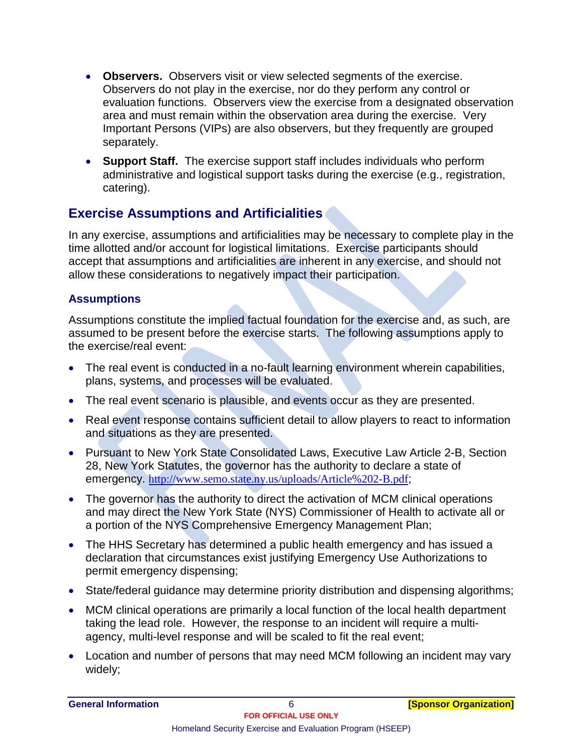- **Observers.** Observers visit or view selected segments of the exercise. Observers do not play in the exercise, nor do they perform any control or evaluation functions. Observers view the exercise from a designated observation area and must remain within the observation area during the exercise. Very Important Persons (VIPs) are also observers, but they frequently are grouped separately.
- **Support Staff.** The exercise support staff includes individuals who perform administrative and logistical support tasks during the exercise (e.g., registration, catering).

#### **Exercise Assumptions and Artificialities**

In any exercise, assumptions and artificialities may be necessary to complete play in the time allotted and/or account for logistical limitations. Exercise participants should accept that assumptions and artificialities are inherent in any exercise, and should not allow these considerations to negatively impact their participation.

#### **Assumptions**

Assumptions constitute the implied factual foundation for the exercise and, as such, are assumed to be present before the exercise starts. The following assumptions apply to the exercise/real event:

- The real event is conducted in a no-fault learning environment wherein capabilities, plans, systems, and processes will be evaluated.
- The real event scenario is plausible, and events occur as they are presented.
- Real event response contains sufficient detail to allow players to react to information and situations as they are presented.
- Pursuant to New York State Consolidated Laws, Executive Law Article 2-B, Section 28, New York Statutes, the governor has the authority to declare a state of emergency. <http://www.semo.state.ny.us/uploads/Article%202-B.pdf>;
- The governor has the authority to direct the activation of MCM clinical operations and may direct the New York State (NYS) Commissioner of Health to activate all or a portion of the NYS Comprehensive Emergency Management Plan;
- The HHS Secretary has determined a public health emergency and has issued a declaration that circumstances exist justifying Emergency Use Authorizations to permit emergency dispensing;
- State/federal guidance may determine priority distribution and dispensing algorithms;
- MCM clinical operations are primarily a local function of the local health department taking the lead role. However, the response to an incident will require a multiagency, multi-level response and will be scaled to fit the real event;
- Location and number of persons that may need MCM following an incident may vary widely;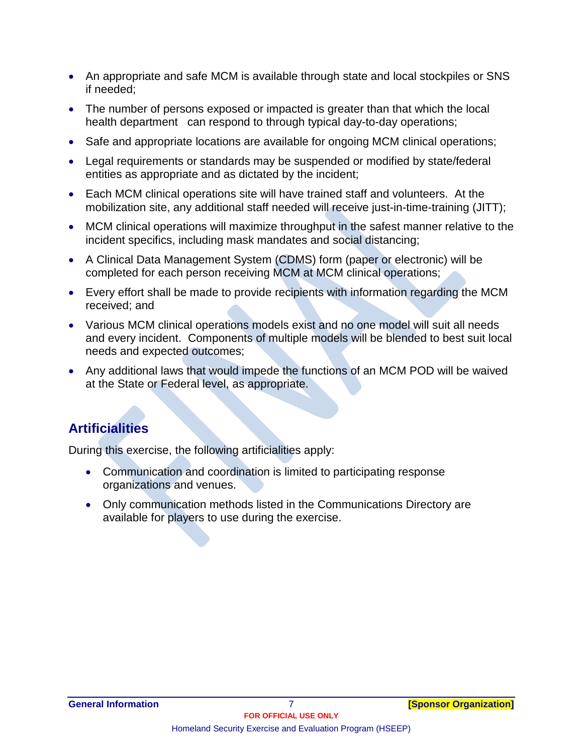- An appropriate and safe MCM is available through state and local stockpiles or SNS if needed;
- The number of persons exposed or impacted is greater than that which the local health department can respond to through typical day-to-day operations;
- Safe and appropriate locations are available for ongoing MCM clinical operations;
- Legal requirements or standards may be suspended or modified by state/federal entities as appropriate and as dictated by the incident;
- Each MCM clinical operations site will have trained staff and volunteers. At the mobilization site, any additional staff needed will receive just-in-time-training (JITT);
- MCM clinical operations will maximize throughput in the safest manner relative to the incident specifics, including mask mandates and social distancing;
- A Clinical Data Management System (CDMS) form (paper or electronic) will be completed for each person receiving MCM at MCM clinical operations;
- Every effort shall be made to provide recipients with information regarding the MCM received; and
- Various MCM clinical operations models exist and no one model will suit all needs and every incident. Components of multiple models will be blended to best suit local needs and expected outcomes;
- Any additional laws that would impede the functions of an MCM POD will be waived at the State or Federal level, as appropriate.

#### **Artificialities**

During this exercise, the following artificialities apply:

- Communication and coordination is limited to participating response organizations and venues.
- Only communication methods listed in the Communications Directory are available for players to use during the exercise.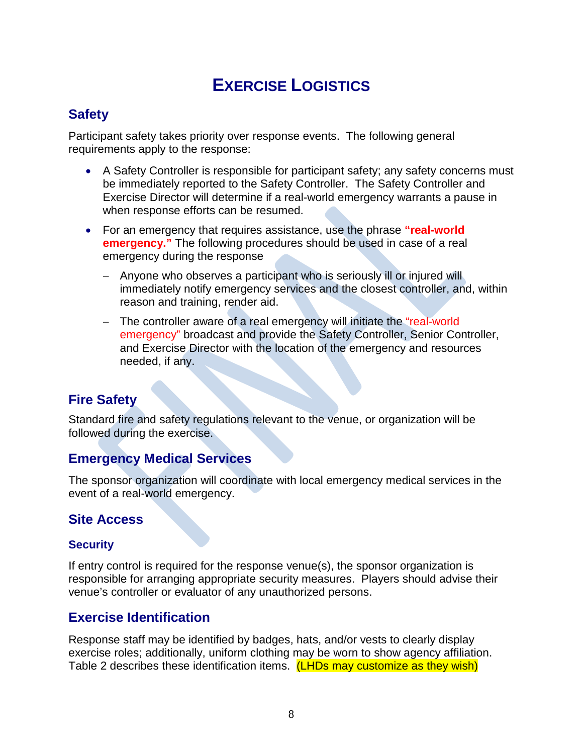### **EXERCISE LOGISTICS**

#### **Safety**

Participant safety takes priority over response events. The following general requirements apply to the response:

- A Safety Controller is responsible for participant safety; any safety concerns must be immediately reported to the Safety Controller. The Safety Controller and Exercise Director will determine if a real-world emergency warrants a pause in when response efforts can be resumed.
- For an emergency that requires assistance, use the phrase **"real-world emergency."** The following procedures should be used in case of a real emergency during the response
	- − Anyone who observes a participant who is seriously ill or injured will immediately notify emergency services and the closest controller, and, within reason and training, render aid.
	- − The controller aware of a real emergency will initiate the "real-world emergency" broadcast and provide the Safety Controller, Senior Controller, and Exercise Director with the location of the emergency and resources needed, if any.

#### **Fire Safety**

Standard fire and safety regulations relevant to the venue, or organization will be followed during the exercise.

#### **Emergency Medical Services**

The sponsor organization will coordinate with local emergency medical services in the event of a real-world emergency.

#### **Site Access**

#### **Security**

If entry control is required for the response venue(s), the sponsor organization is responsible for arranging appropriate security measures. Players should advise their venue's controller or evaluator of any unauthorized persons.

#### **Exercise Identification**

Response staff may be identified by badges, hats, and/or vests to clearly display exercise roles; additionally, uniform clothing may be worn to show agency affiliation. Table 2 describes these identification items. (LHDs may customize as they wish)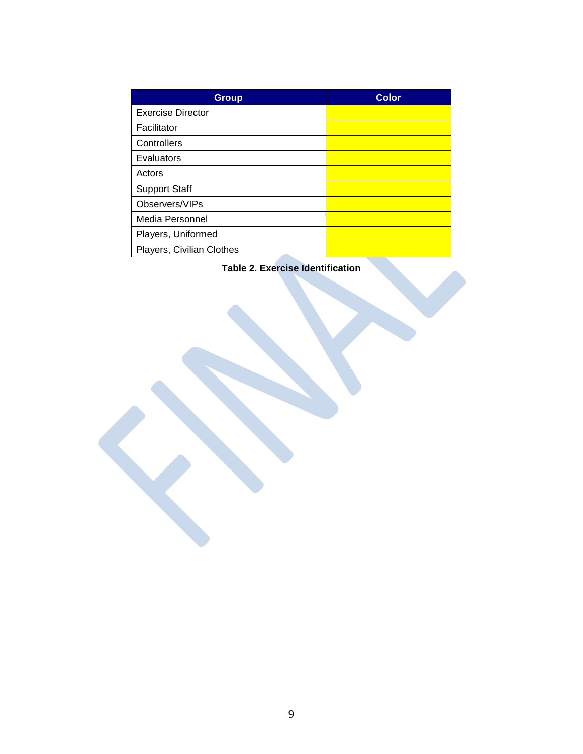| <b>Group</b>              | <b>Color</b> |
|---------------------------|--------------|
| <b>Exercise Director</b>  |              |
| Facilitator               |              |
| Controllers               |              |
| Evaluators                |              |
| Actors                    |              |
| <b>Support Staff</b>      |              |
| Observers/VIPs            |              |
| Media Personnel           |              |
| Players, Uniformed        |              |
| Players, Civilian Clothes |              |

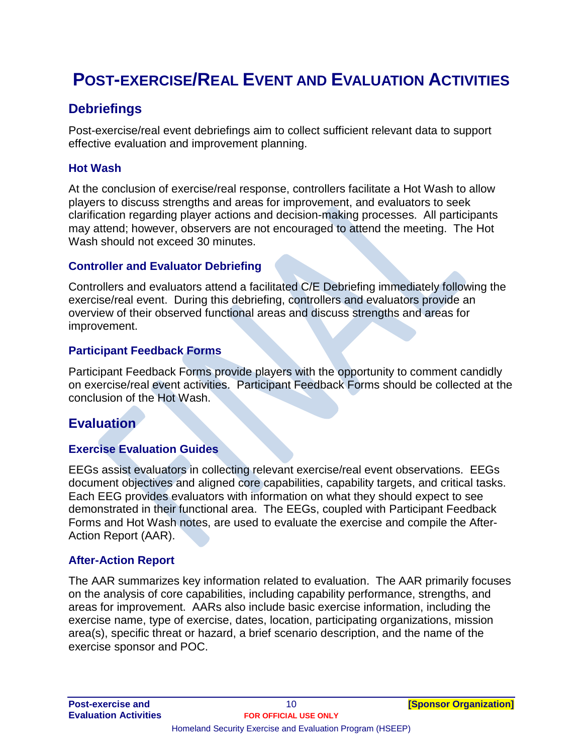# **POST-EXERCISE/REAL EVENT AND EVALUATION ACTIVITIES**

#### **Debriefings**

Post-exercise/real event debriefings aim to collect sufficient relevant data to support effective evaluation and improvement planning.

#### **Hot Wash**

At the conclusion of exercise/real response, controllers facilitate a Hot Wash to allow players to discuss strengths and areas for improvement, and evaluators to seek clarification regarding player actions and decision-making processes. All participants may attend; however, observers are not encouraged to attend the meeting. The Hot Wash should not exceed 30 minutes.

#### **Controller and Evaluator Debriefing**

Controllers and evaluators attend a facilitated C/E Debriefing immediately following the exercise/real event. During this debriefing, controllers and evaluators provide an overview of their observed functional areas and discuss strengths and areas for improvement.

#### **Participant Feedback Forms**

Participant Feedback Forms provide players with the opportunity to comment candidly on exercise/real event activities. Participant Feedback Forms should be collected at the conclusion of the Hot Wash.

#### **Evaluation**

#### **Exercise Evaluation Guides**

EEGs assist evaluators in collecting relevant exercise/real event observations. EEGs document objectives and aligned core capabilities, capability targets, and critical tasks. Each EEG provides evaluators with information on what they should expect to see demonstrated in their functional area. The EEGs, coupled with Participant Feedback Forms and Hot Wash notes, are used to evaluate the exercise and compile the After-Action Report (AAR).

#### **After-Action Report**

The AAR summarizes key information related to evaluation. The AAR primarily focuses on the analysis of core capabilities, including capability performance, strengths, and areas for improvement. AARs also include basic exercise information, including the exercise name, type of exercise, dates, location, participating organizations, mission area(s), specific threat or hazard, a brief scenario description, and the name of the exercise sponsor and POC.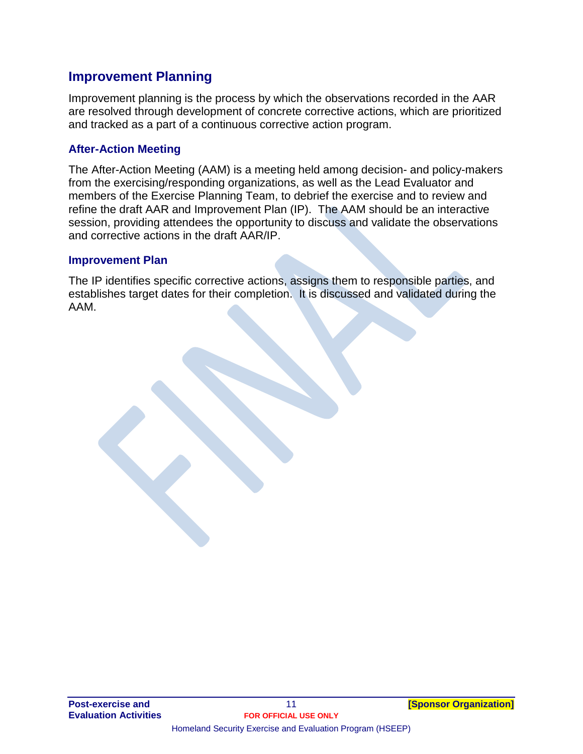#### **Improvement Planning**

Improvement planning is the process by which the observations recorded in the AAR are resolved through development of concrete corrective actions, which are prioritized and tracked as a part of a continuous corrective action program.

#### **After-Action Meeting**

The After-Action Meeting (AAM) is a meeting held among decision- and policy-makers from the exercising/responding organizations, as well as the Lead Evaluator and members of the Exercise Planning Team, to debrief the exercise and to review and refine the draft AAR and Improvement Plan (IP). The AAM should be an interactive session, providing attendees the opportunity to discuss and validate the observations and corrective actions in the draft AAR/IP.

#### **Improvement Plan**

The IP identifies specific corrective actions, assigns them to responsible parties, and establishes target dates for their completion. It is discussed and validated during the AAM.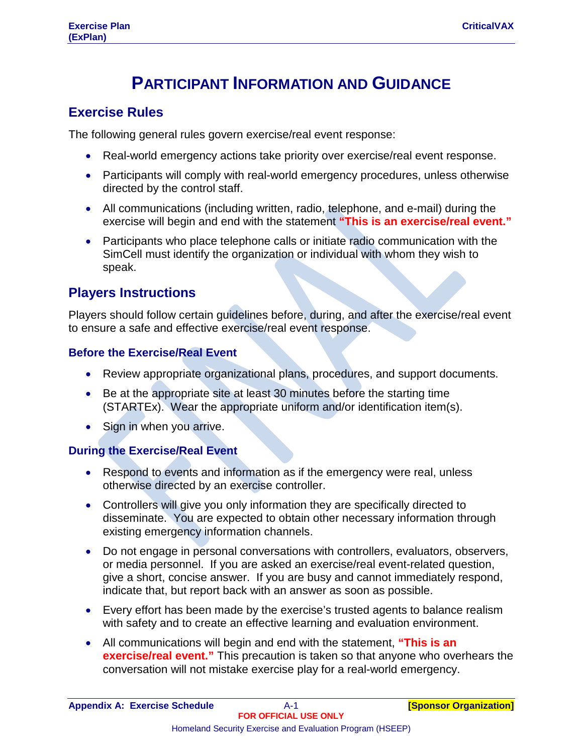# **PARTICIPANT INFORMATION AND GUIDANCE**

#### **Exercise Rules**

The following general rules govern exercise/real event response:

- Real-world emergency actions take priority over exercise/real event response.
- Participants will comply with real-world emergency procedures, unless otherwise directed by the control staff.
- All communications (including written, radio, telephone, and e-mail) during the exercise will begin and end with the statement **"This is an exercise/real event."**
- Participants who place telephone calls or initiate radio communication with the SimCell must identify the organization or individual with whom they wish to speak.

#### **Players Instructions**

Players should follow certain guidelines before, during, and after the exercise/real event to ensure a safe and effective exercise/real event response.

#### **Before the Exercise/Real Event**

- Review appropriate organizational plans, procedures, and support documents.
- Be at the appropriate site at least 30 minutes before the starting time (STARTEx). Wear the appropriate uniform and/or identification item(s).
- Sign in when you arrive.

#### **During the Exercise/Real Event**

- Respond to events and information as if the emergency were real, unless otherwise directed by an exercise controller.
- Controllers will give you only information they are specifically directed to disseminate. You are expected to obtain other necessary information through existing emergency information channels.
- Do not engage in personal conversations with controllers, evaluators, observers, or media personnel. If you are asked an exercise/real event-related question, give a short, concise answer. If you are busy and cannot immediately respond, indicate that, but report back with an answer as soon as possible.
- Every effort has been made by the exercise's trusted agents to balance realism with safety and to create an effective learning and evaluation environment.
- All communications will begin and end with the statement, **"This is an exercise/real event."** This precaution is taken so that anyone who overhears the conversation will not mistake exercise play for a real-world emergency.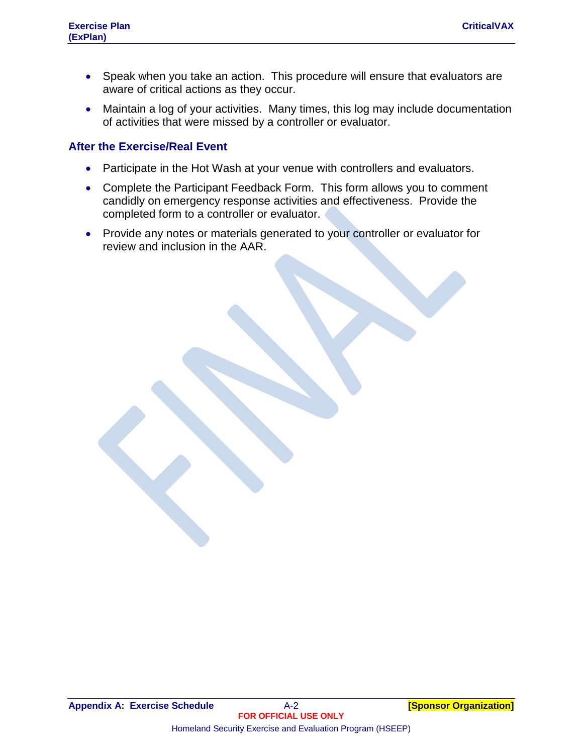- Speak when you take an action. This procedure will ensure that evaluators are aware of critical actions as they occur.
- Maintain a log of your activities. Many times, this log may include documentation of activities that were missed by a controller or evaluator.

#### **After the Exercise/Real Event**

- Participate in the Hot Wash at your venue with controllers and evaluators.
- Complete the Participant Feedback Form. This form allows you to comment candidly on emergency response activities and effectiveness. Provide the completed form to a controller or evaluator.
- Provide any notes or materials generated to your controller or evaluator for review and inclusion in the AAR.

**Appendix A: Exercise Schedule** A-2 **[Sponsor Organization] FOR OFFICIAL USE ONLY** Homeland Security Exercise and Evaluation Program (HSEEP)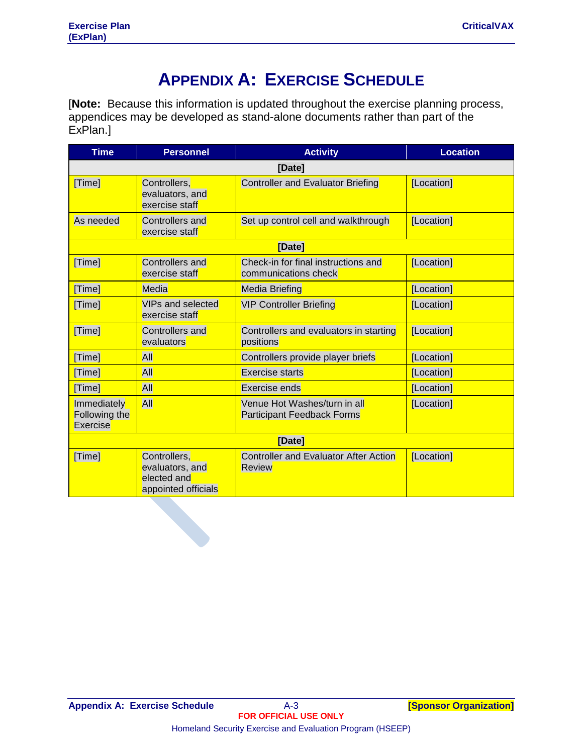### **APPENDIX A: EXERCISE SCHEDULE**

[**Note:** Because this information is updated throughout the exercise planning process, appendices may be developed as stand-alone documents rather than part of the ExPlan.]

| <b>Time</b>                              | <b>Personnel</b>                                                      | <b>Activity</b>                                                   | <b>Location</b> |  |
|------------------------------------------|-----------------------------------------------------------------------|-------------------------------------------------------------------|-----------------|--|
| [Date]                                   |                                                                       |                                                                   |                 |  |
| [Time]                                   | Controllers,<br>evaluators, and<br>exercise staff                     | <b>Controller and Evaluator Briefing</b>                          | [Location]      |  |
| As needed                                | <b>Controllers and</b><br>exercise staff                              | Set up control cell and walkthrough                               | [Location]      |  |
| [Date]                                   |                                                                       |                                                                   |                 |  |
| [Time]                                   | <b>Controllers and</b><br>exercise staff                              | Check-in for final instructions and<br>communications check       | [Location]      |  |
| [Time]                                   | Media                                                                 | Media Briefing                                                    | [Location]      |  |
| [Time]                                   | <b>VIPs and selected</b><br>exercise staff                            | <b>VIP Controller Briefing</b>                                    | [Location]      |  |
| [Time]                                   | <b>Controllers and</b><br>evaluators                                  | Controllers and evaluators in starting<br>positions               | [Location]      |  |
| [Time]                                   | <b>All</b>                                                            | Controllers provide player briefs                                 | [Location]      |  |
| [Time]                                   | <b>All</b>                                                            | <b>Exercise starts</b>                                            | [Location]      |  |
| [Time]                                   | <b>All</b>                                                            | Exercise ends                                                     | [Location]      |  |
| Immediately<br>Following the<br>Exercise | <b>All</b>                                                            | Venue Hot Washes/turn in all<br><b>Participant Feedback Forms</b> | [Location]      |  |
| [Date]                                   |                                                                       |                                                                   |                 |  |
| [Time]                                   | Controllers,<br>evaluators, and<br>elected and<br>appointed officials | <b>Controller and Evaluator After Action</b><br><b>Review</b>     | [Location]      |  |
|                                          |                                                                       |                                                                   |                 |  |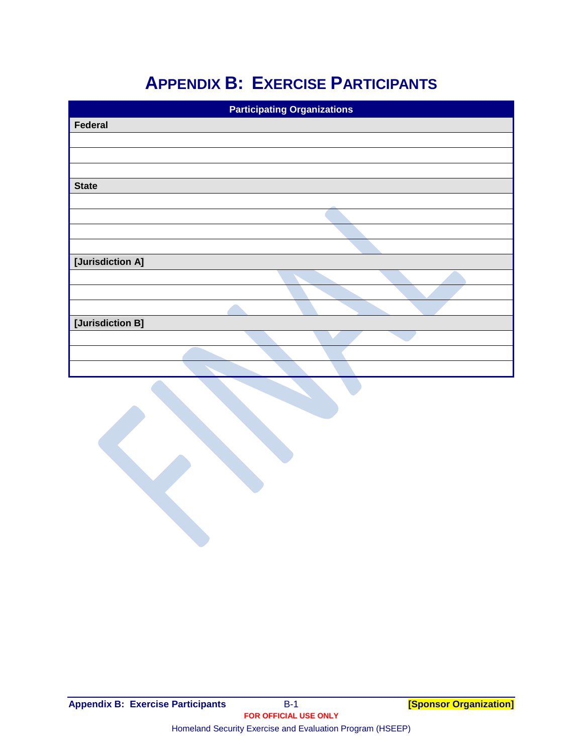# **APPENDIX B: EXERCISE PARTICIPANTS**

| <b>Participating Organizations</b> |  |
|------------------------------------|--|
| Federal                            |  |
|                                    |  |
|                                    |  |
|                                    |  |
| <b>State</b>                       |  |
|                                    |  |
|                                    |  |
|                                    |  |
|                                    |  |
| [Jurisdiction A]                   |  |
|                                    |  |
|                                    |  |
|                                    |  |
| [Jurisdiction B]                   |  |
|                                    |  |
|                                    |  |
|                                    |  |

Homeland Security Exercise and Evaluation Program (HSEEP)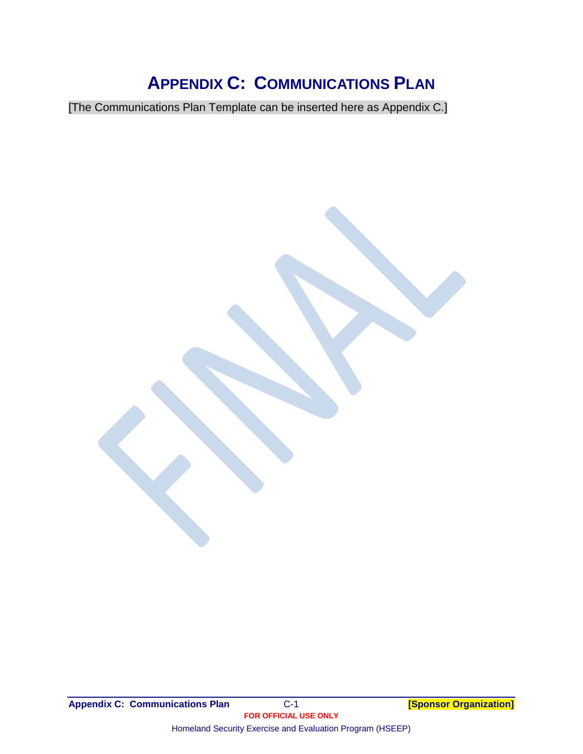# **APPENDIX C: COMMUNICATIONS PLAN**

[The Communications Plan Template can be inserted here as Appendix C.]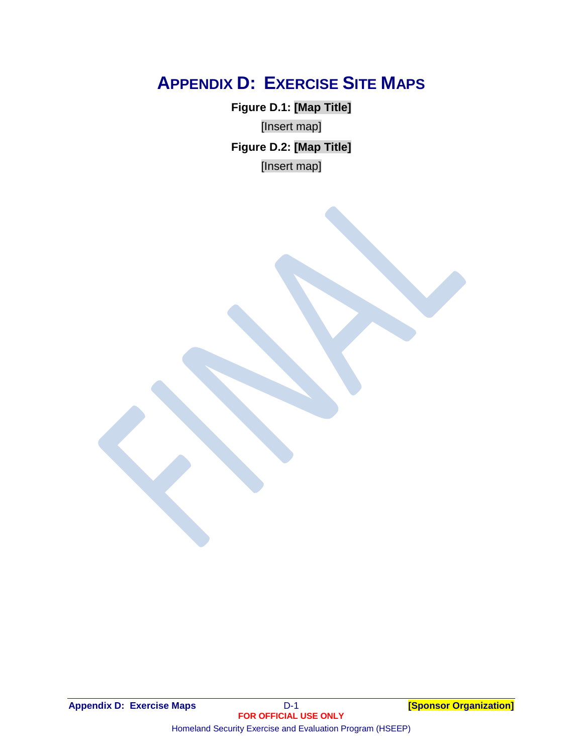# **APPENDIX D: EXERCISE SITE MAPS**

**Figure D.1: [Map Title]** [Insert map] **Figure D.2: [Map Title]** [Insert map]